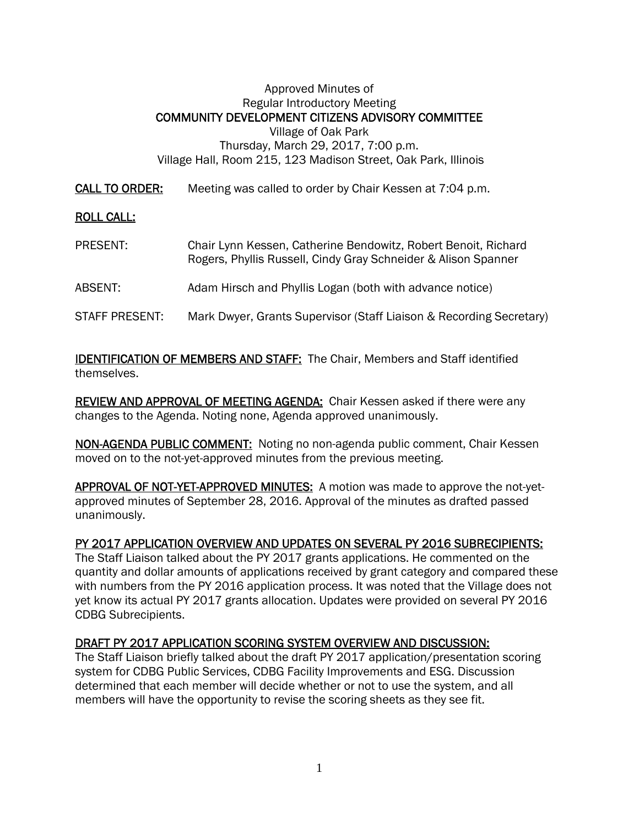## Approved Minutes of Regular Introductory Meeting COMMUNITY DEVELOPMENT CITIZENS ADVISORY COMMITTEE Village of Oak Park Thursday, March 29, 2017, 7:00 p.m. Village Hall, Room 215, 123 Madison Street, Oak Park, Illinois

CALL TO ORDER: Meeting was called to order by Chair Kessen at 7:04 p.m.

## ROLL CALL:

PRESENT: Chair Lynn Kessen, Catherine Bendowitz, Robert Benoit, Richard Rogers, Phyllis Russell, Cindy Gray Schneider & Alison Spanner ABSENT: Adam Hirsch and Phyllis Logan (both with advance notice) STAFF PRESENT: Mark Dwyer, Grants Supervisor (Staff Liaison & Recording Secretary)

**IDENTIFICATION OF MEMBERS AND STAFF:** The Chair, Members and Staff identified themselves.

REVIEW AND APPROVAL OF MEETING AGENDA: Chair Kessen asked if there were any changes to the Agenda. Noting none, Agenda approved unanimously.

NON-AGENDA PUBLIC COMMENT: Noting no non-agenda public comment, Chair Kessen moved on to the not-yet-approved minutes from the previous meeting.

APPROVAL OF NOT-YET-APPROVED MINUTES: A motion was made to approve the not-yetapproved minutes of September 28, 2016. Approval of the minutes as drafted passed unanimously.

## PY 2017 APPLICATION OVERVIEW AND UPDATES ON SEVERAL PY 2016 SUBRECIPIENTS:

The Staff Liaison talked about the PY 2017 grants applications. He commented on the quantity and dollar amounts of applications received by grant category and compared these with numbers from the PY 2016 application process. It was noted that the Village does not yet know its actual PY 2017 grants allocation. Updates were provided on several PY 2016 CDBG Subrecipients.

## DRAFT PY 2017 APPLICATION SCORING SYSTEM OVERVIEW AND DISCUSSION:

The Staff Liaison briefly talked about the draft PY 2017 application/presentation scoring system for CDBG Public Services, CDBG Facility Improvements and ESG. Discussion determined that each member will decide whether or not to use the system, and all members will have the opportunity to revise the scoring sheets as they see fit.